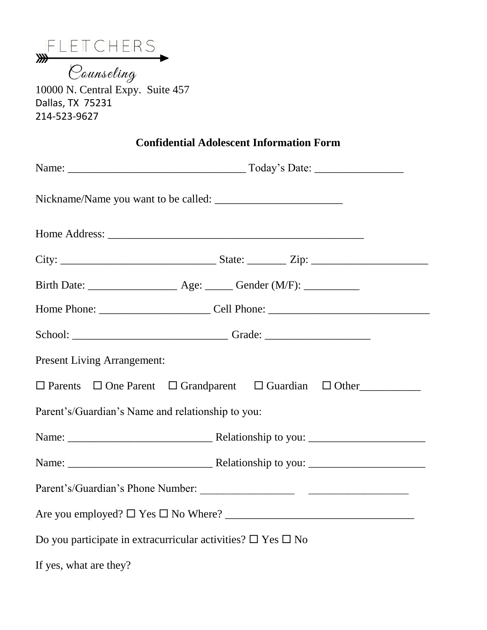|  | FLETCHER'S |  |
|--|------------|--|
|  |            |  |
|  |            |  |

m<br>10000 N. Central Expy. Suite 457 Dallas, TX 75231 214-523-9627

|  |  | <b>Confidential Adolescent Information Form</b> |  |
|--|--|-------------------------------------------------|--|
|--|--|-------------------------------------------------|--|

| <b>Present Living Arrangement:</b>                                               |  |  |  |  |  |
|----------------------------------------------------------------------------------|--|--|--|--|--|
| $\Box$ Parents $\Box$ One Parent $\Box$ Grandparent $\Box$ Guardian $\Box$ Other |  |  |  |  |  |
| Parent's/Guardian's Name and relationship to you:                                |  |  |  |  |  |
|                                                                                  |  |  |  |  |  |
|                                                                                  |  |  |  |  |  |
|                                                                                  |  |  |  |  |  |
|                                                                                  |  |  |  |  |  |
| Do you participate in extracurricular activities? $\square$ Yes $\square$ No     |  |  |  |  |  |

If yes, what are they?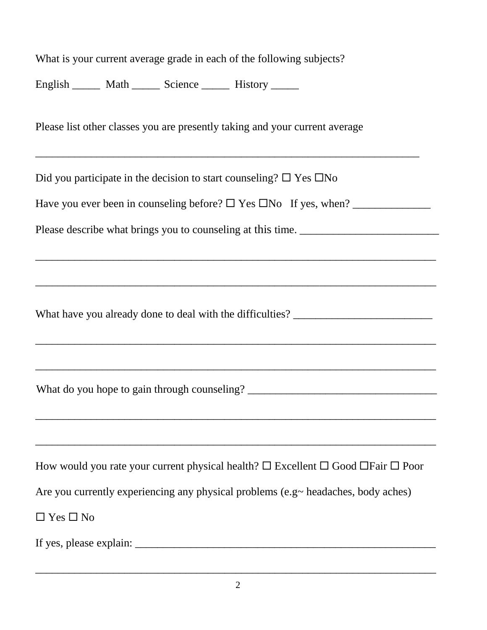| What is your current average grade in each of the following subjects?                                             |  |  |  |  |  |
|-------------------------------------------------------------------------------------------------------------------|--|--|--|--|--|
| English _______ Math _______ Science _______ History ______                                                       |  |  |  |  |  |
| Please list other classes you are presently taking and your current average                                       |  |  |  |  |  |
| Did you participate in the decision to start counseling? $\square$ Yes $\square$ No                               |  |  |  |  |  |
|                                                                                                                   |  |  |  |  |  |
| Please describe what brings you to counseling at this time. _____________________                                 |  |  |  |  |  |
|                                                                                                                   |  |  |  |  |  |
| What have you already done to deal with the difficulties? _______________________                                 |  |  |  |  |  |
|                                                                                                                   |  |  |  |  |  |
|                                                                                                                   |  |  |  |  |  |
| How would you rate your current physical health? $\square$ Excellent $\square$ Good $\square$ Fair $\square$ Poor |  |  |  |  |  |
| Are you currently experiencing any physical problems (e.g $\sim$ headaches, body aches)                           |  |  |  |  |  |
| $\Box$ Yes $\Box$ No                                                                                              |  |  |  |  |  |
|                                                                                                                   |  |  |  |  |  |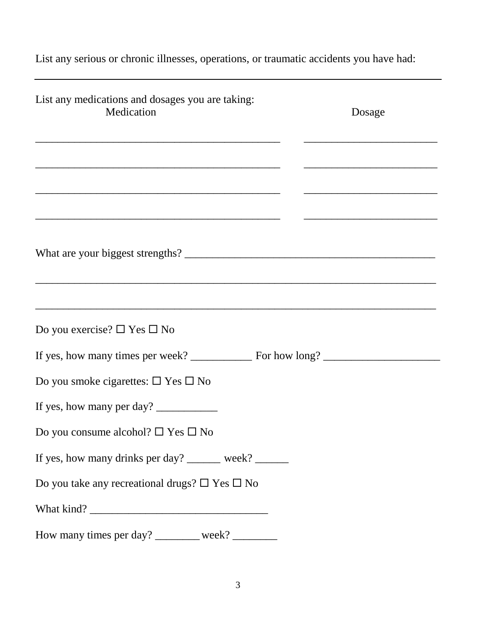List any serious or chronic illnesses, operations, or traumatic accidents you have had:

| List any medications and dosages you are taking:<br>Medication                                                       | Dosage |
|----------------------------------------------------------------------------------------------------------------------|--------|
| <u> 1980 - Johann John Harry Harry Harry Harry Harry Harry Harry Harry Harry Harry Harry Harry Harry Harry Harry</u> |        |
|                                                                                                                      |        |
|                                                                                                                      |        |
|                                                                                                                      |        |
| Do you exercise? $\square$ Yes $\square$ No                                                                          |        |
|                                                                                                                      |        |
| Do you smoke cigarettes: $\square$ Yes $\square$ No                                                                  |        |
| If yes, how many per day?                                                                                            |        |
| Do you consume alcohol? $\Box$ Yes $\Box$ No                                                                         |        |
| If yes, how many drinks per day? ______ week? ______                                                                 |        |
| Do you take any recreational drugs? $\square$ Yes $\square$ No                                                       |        |
|                                                                                                                      |        |
| How many times per day? ________ week? _______                                                                       |        |